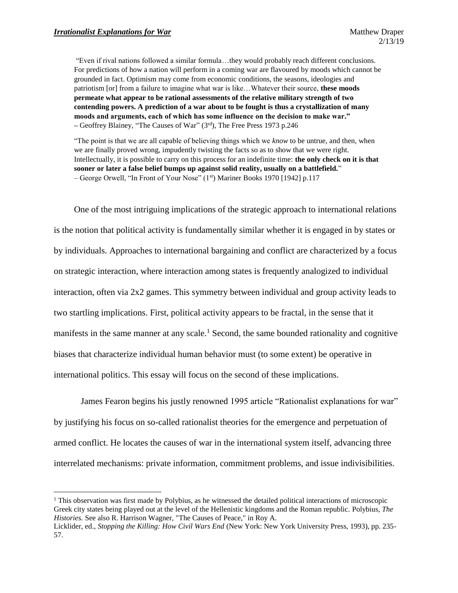l

"Even if rival nations followed a similar formula…they would probably reach different conclusions. For predictions of how a nation will perform in a coming war are flavoured by moods which cannot be grounded in fact. Optimism may come from economic conditions, the seasons, ideologies and patriotism [or] from a failure to imagine what war is like…Whatever their source, **these moods permeate what appear to be rational assessments of the relative military strength of two contending powers. A prediction of a war about to be fought is thus a crystallization of many moods and arguments, each of which has some influence on the decision to make war." –** Geoffrey Blainey, "The Causes of War" (3rd), The Free Press 1973 p.246

"The point is that we are all capable of believing things which we *know* to be untrue, and then, when we are finally proved wrong, impudently twisting the facts so as to show that we were right. Intellectually, it is possible to carry on this process for an indefinite time: **the only check on it is that sooner or later a false belief bumps up against solid reality, usually on a battlefield.**" – George Orwell, "In Front of Your Nose" (1st) Mariner Books 1970 [1942] p.117

One of the most intriguing implications of the strategic approach to international relations is the notion that political activity is fundamentally similar whether it is engaged in by states or by individuals. Approaches to international bargaining and conflict are characterized by a focus on strategic interaction, where interaction among states is frequently analogized to individual interaction, often via 2x2 games. This symmetry between individual and group activity leads to two startling implications. First, political activity appears to be fractal, in the sense that it manifests in the same manner at any scale.<sup>1</sup> Second, the same bounded rationality and cognitive biases that characterize individual human behavior must (to some extent) be operative in international politics. This essay will focus on the second of these implications.

James Fearon begins his justly renowned 1995 article "Rationalist explanations for war" by justifying his focus on so-called rationalist theories for the emergence and perpetuation of armed conflict. He locates the causes of war in the international system itself, advancing three interrelated mechanisms: private information, commitment problems, and issue indivisibilities.

<sup>&</sup>lt;sup>1</sup> This observation was first made by Polybius, as he witnessed the detailed political interactions of microscopic Greek city states being played out at the level of the Hellenistic kingdoms and the Roman republic. Polybius, *The Histories.* See also R. Harrison Wagner, "The Causes of Peace," in Roy A.

Licklider, ed., *Stopping the Killing: How Civil Wars End* (New York: New York University Press, 1993), pp. 235- 57.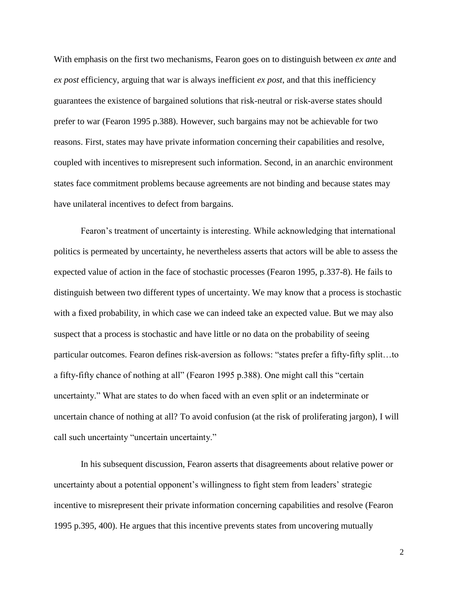With emphasis on the first two mechanisms, Fearon goes on to distinguish between *ex ante* and *ex post* efficiency, arguing that war is always inefficient *ex post*, and that this inefficiency guarantees the existence of bargained solutions that risk-neutral or risk-averse states should prefer to war (Fearon 1995 p.388). However, such bargains may not be achievable for two reasons. First, states may have private information concerning their capabilities and resolve, coupled with incentives to misrepresent such information. Second, in an anarchic environment states face commitment problems because agreements are not binding and because states may have unilateral incentives to defect from bargains.

Fearon's treatment of uncertainty is interesting. While acknowledging that international politics is permeated by uncertainty, he nevertheless asserts that actors will be able to assess the expected value of action in the face of stochastic processes (Fearon 1995, p.337-8). He fails to distinguish between two different types of uncertainty. We may know that a process is stochastic with a fixed probability, in which case we can indeed take an expected value. But we may also suspect that a process is stochastic and have little or no data on the probability of seeing particular outcomes. Fearon defines risk-aversion as follows: "states prefer a fifty-fifty split…to a fifty-fifty chance of nothing at all" (Fearon 1995 p.388). One might call this "certain uncertainty." What are states to do when faced with an even split or an indeterminate or uncertain chance of nothing at all? To avoid confusion (at the risk of proliferating jargon), I will call such uncertainty "uncertain uncertainty."

In his subsequent discussion, Fearon asserts that disagreements about relative power or uncertainty about a potential opponent's willingness to fight stem from leaders' strategic incentive to misrepresent their private information concerning capabilities and resolve (Fearon 1995 p.395, 400). He argues that this incentive prevents states from uncovering mutually

2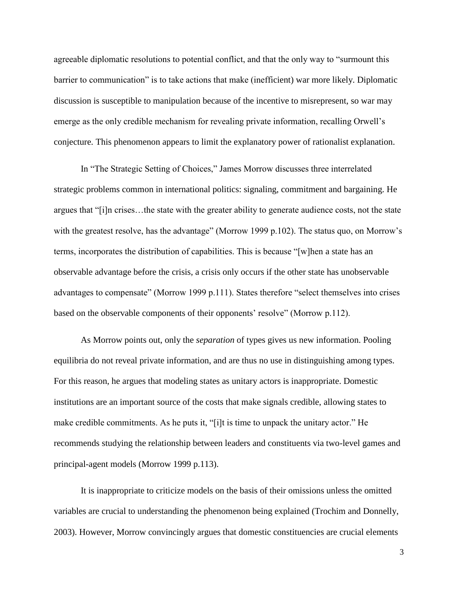agreeable diplomatic resolutions to potential conflict, and that the only way to "surmount this barrier to communication" is to take actions that make (inefficient) war more likely. Diplomatic discussion is susceptible to manipulation because of the incentive to misrepresent, so war may emerge as the only credible mechanism for revealing private information, recalling Orwell's conjecture. This phenomenon appears to limit the explanatory power of rationalist explanation.

In "The Strategic Setting of Choices," James Morrow discusses three interrelated strategic problems common in international politics: signaling, commitment and bargaining. He argues that "[i]n crises…the state with the greater ability to generate audience costs, not the state with the greatest resolve, has the advantage" (Morrow 1999 p.102). The status quo, on Morrow's terms, incorporates the distribution of capabilities. This is because "[w]hen a state has an observable advantage before the crisis, a crisis only occurs if the other state has unobservable advantages to compensate" (Morrow 1999 p.111). States therefore "select themselves into crises based on the observable components of their opponents' resolve" (Morrow p.112).

As Morrow points out, only the *separation* of types gives us new information. Pooling equilibria do not reveal private information, and are thus no use in distinguishing among types. For this reason, he argues that modeling states as unitary actors is inappropriate. Domestic institutions are an important source of the costs that make signals credible, allowing states to make credible commitments. As he puts it, "[i]t is time to unpack the unitary actor." He recommends studying the relationship between leaders and constituents via two-level games and principal-agent models (Morrow 1999 p.113).

It is inappropriate to criticize models on the basis of their omissions unless the omitted variables are crucial to understanding the phenomenon being explained (Trochim and Donnelly, 2003). However, Morrow convincingly argues that domestic constituencies are crucial elements

3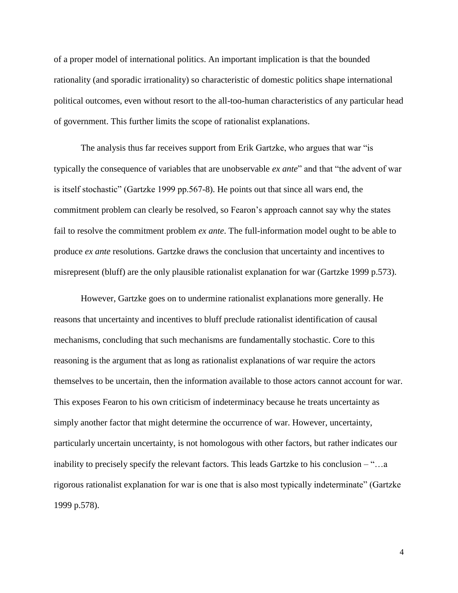of a proper model of international politics. An important implication is that the bounded rationality (and sporadic irrationality) so characteristic of domestic politics shape international political outcomes, even without resort to the all-too-human characteristics of any particular head of government. This further limits the scope of rationalist explanations.

The analysis thus far receives support from Erik Gartzke, who argues that war "is typically the consequence of variables that are unobservable *ex ante*" and that "the advent of war is itself stochastic" (Gartzke 1999 pp.567-8). He points out that since all wars end, the commitment problem can clearly be resolved, so Fearon's approach cannot say why the states fail to resolve the commitment problem *ex ante*. The full-information model ought to be able to produce *ex ante* resolutions. Gartzke draws the conclusion that uncertainty and incentives to misrepresent (bluff) are the only plausible rationalist explanation for war (Gartzke 1999 p.573).

However, Gartzke goes on to undermine rationalist explanations more generally. He reasons that uncertainty and incentives to bluff preclude rationalist identification of causal mechanisms, concluding that such mechanisms are fundamentally stochastic. Core to this reasoning is the argument that as long as rationalist explanations of war require the actors themselves to be uncertain, then the information available to those actors cannot account for war. This exposes Fearon to his own criticism of indeterminacy because he treats uncertainty as simply another factor that might determine the occurrence of war. However, uncertainty, particularly uncertain uncertainty, is not homologous with other factors, but rather indicates our inability to precisely specify the relevant factors. This leads Gartzke to his conclusion – "…a rigorous rationalist explanation for war is one that is also most typically indeterminate" (Gartzke 1999 p.578).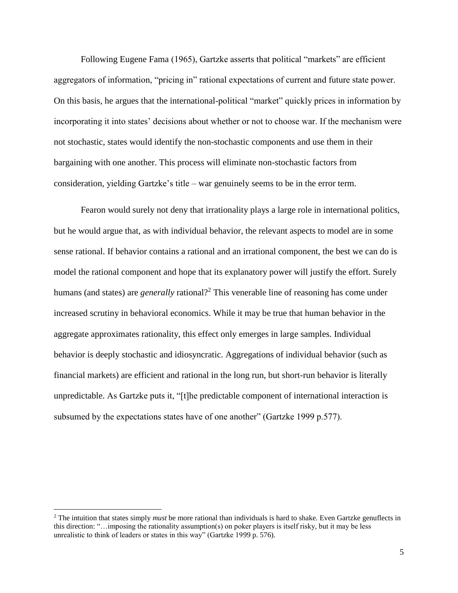Following Eugene Fama (1965), Gartzke asserts that political "markets" are efficient aggregators of information, "pricing in" rational expectations of current and future state power. On this basis, he argues that the international-political "market" quickly prices in information by incorporating it into states' decisions about whether or not to choose war. If the mechanism were not stochastic, states would identify the non-stochastic components and use them in their bargaining with one another. This process will eliminate non-stochastic factors from consideration, yielding Gartzke's title – war genuinely seems to be in the error term.

Fearon would surely not deny that irrationality plays a large role in international politics, but he would argue that, as with individual behavior, the relevant aspects to model are in some sense rational. If behavior contains a rational and an irrational component, the best we can do is model the rational component and hope that its explanatory power will justify the effort. Surely humans (and states) are *generally* rational?<sup>2</sup> This venerable line of reasoning has come under increased scrutiny in behavioral economics. While it may be true that human behavior in the aggregate approximates rationality, this effect only emerges in large samples. Individual behavior is deeply stochastic and idiosyncratic. Aggregations of individual behavior (such as financial markets) are efficient and rational in the long run, but short-run behavior is literally unpredictable. As Gartzke puts it, "[t]he predictable component of international interaction is subsumed by the expectations states have of one another" (Gartzke 1999 p.577).

 $\overline{\phantom{a}}$ 

<sup>2</sup> The intuition that states simply *must* be more rational than individuals is hard to shake. Even Gartzke genuflects in this direction: "…imposing the rationality assumption(s) on poker players is itself risky, but it may be less unrealistic to think of leaders or states in this way" (Gartzke 1999 p. 576).